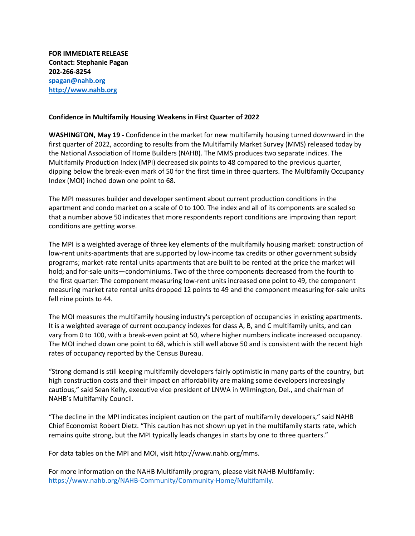**FOR IMMEDIATE RELEASE Contact: Stephanie Pagan 202-266-8254 [spagan@nahb.org](mailto:spagan@nahb.org) [http://www.nahb.org](http://www.nahb.org/)**

#### **Confidence in Multifamily Housing Weakens in First Quarter of 2022**

**WASHINGTON, May 19 -** Confidence in the market for new multifamily housing turned downward in the first quarter of 2022, according to results from the Multifamily Market Survey (MMS) released today by the National Association of Home Builders (NAHB). The MMS produces two separate indices. The Multifamily Production Index (MPI) decreased six points to 48 compared to the previous quarter, dipping below the break-even mark of 50 for the first time in three quarters. The Multifamily Occupancy Index (MOI) inched down one point to 68.

The MPI measures builder and developer sentiment about current production conditions in the apartment and condo market on a scale of 0 to 100. The index and all of its components are scaled so that a number above 50 indicates that more respondents report conditions are improving than report conditions are getting worse.

The MPI is a weighted average of three key elements of the multifamily housing market: construction of low-rent units-apartments that are supported by low-income tax credits or other government subsidy programs; market-rate rental units-apartments that are built to be rented at the price the market will hold; and for-sale units—condominiums. Two of the three components decreased from the fourth to the first quarter: The component measuring low-rent units increased one point to 49, the component measuring market rate rental units dropped 12 points to 49 and the component measuring for-sale units fell nine points to 44.

The MOI measures the multifamily housing industry's perception of occupancies in existing apartments. It is a weighted average of current occupancy indexes for class A, B, and C multifamily units, and can vary from 0 to 100, with a break-even point at 50, where higher numbers indicate increased occupancy. The MOI inched down one point to 68, which is still well above 50 and is consistent with the recent high rates of occupancy reported by the Census Bureau.

"Strong demand is still keeping multifamily developers fairly optimistic in many parts of the country, but high construction costs and their impact on affordability are making some developers increasingly cautious," said Sean Kelly, executive vice president of LNWA in Wilmington, Del., and chairman of NAHB's Multifamily Council.

"The decline in the MPI indicates incipient caution on the part of multifamily developers," said NAHB Chief Economist Robert Dietz. "This caution has not shown up yet in the multifamily starts rate, which remains quite strong, but the MPI typically leads changes in starts by one to three quarters."

For data tables on the MPI and MOI, visit http://www.nahb.org/mms.

For more information on the NAHB Multifamily program, please visit NAHB Multifamily: [https://www.nahb.org/NAHB-Community/Community-Home/Multifamily.](https://www.nahb.org/NAHB-Community/Community-Home/Multifamily)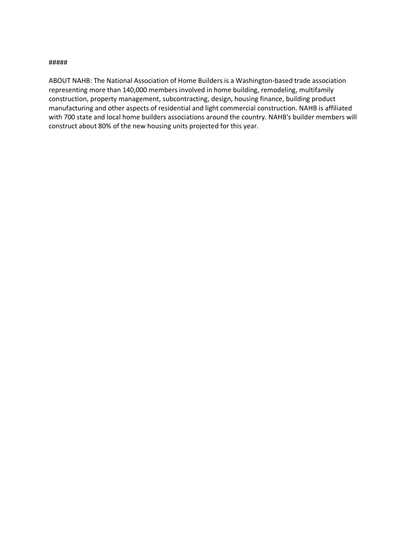#### #####

ABOUT NAHB: The National Association of Home Builders is a Washington-based trade association representing more than 140,000 members involved in home building, remodeling, multifamily construction, property management, subcontracting, design, housing finance, building product manufacturing and other aspects of residential and light commercial construction. NAHB is affiliated with 700 state and local home builders associations around the country. NAHB's builder members will construct about 80% of the new housing units projected for this year.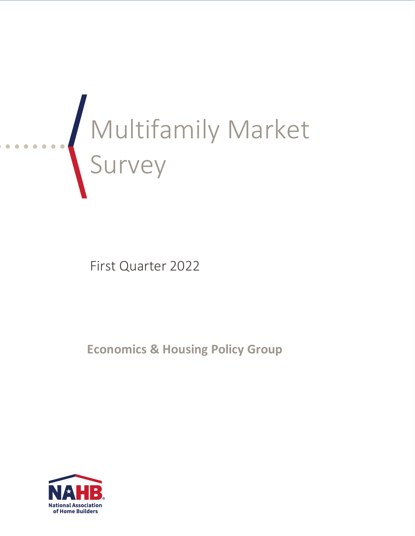

First Quarter 2022

**Economics & Housing Policy Group**

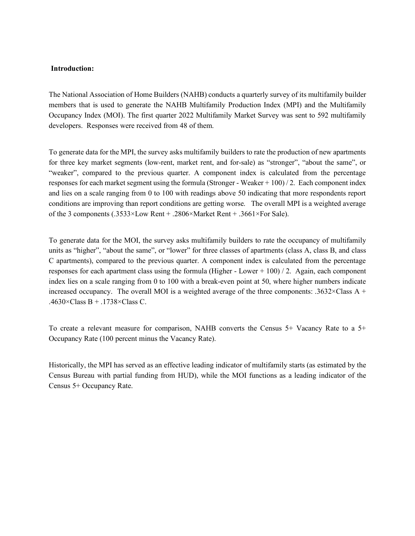#### **Introduction:**

The National Association of Home Builders (NAHB) conducts a quarterly survey of its multifamily builder members that is used to generate the NAHB Multifamily Production Index (MPI) and the Multifamily Occupancy Index (MOI). The first quarter 2022 Multifamily Market Survey was sent to 592 multifamily developers. Responses were received from 48 of them.

To generate data for the MPI, the survey asks multifamily builders to rate the production of new apartments for three key market segments (low-rent, market rent, and for-sale) as "stronger", "about the same", or "weaker", compared to the previous quarter. A component index is calculated from the percentage responses for each market segment using the formula (Stronger - Weaker + 100) / 2. Each component index and lies on a scale ranging from 0 to 100 with readings above 50 indicating that more respondents report conditions are improving than report conditions are getting worse. The overall MPI is a weighted average of the 3 components (.3533×Low Rent + .2806×Market Rent + .3661×For Sale).

To generate data for the MOI, the survey asks multifamily builders to rate the occupancy of multifamily units as "higher", "about the same", or "lower" for three classes of apartments (class A, class B, and class C apartments), compared to the previous quarter. A component index is calculated from the percentage responses for each apartment class using the formula (Higher - Lower  $+ 100$ ) / 2. Again, each component index lies on a scale ranging from 0 to 100 with a break-even point at 50, where higher numbers indicate increased occupancy. The overall MOI is a weighted average of the three components: .3632 $\times$ Class A + .4630 $\times$ Class B + .1738 $\times$ Class C.

To create a relevant measure for comparison, NAHB converts the Census 5+ Vacancy Rate to a 5+ Occupancy Rate (100 percent minus the Vacancy Rate).

Historically, the MPI has served as an effective leading indicator of multifamily starts (as estimated by the Census Bureau with partial funding from HUD), while the MOI functions as a leading indicator of the Census 5+ Occupancy Rate.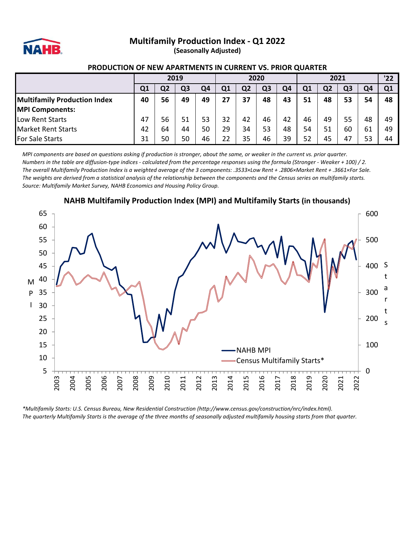

### **Multifamily Production Index - Q1 2022**

**(Seasonally Adjusted)**

#### **PRODUCTION OF NEW APARTMENTS IN CURRENT VS. PRIOR QUARTER**

|                                     | 2019 |    |    |    | 2020 |    |                |    | 2021 |    |    |     | '22 |
|-------------------------------------|------|----|----|----|------|----|----------------|----|------|----|----|-----|-----|
|                                     | Q1   | Ο2 | Q3 | Q4 | Q1   | Q2 | Q <sub>3</sub> | Q4 | Q1   | Q2 | Q3 | Ο4  | 01  |
| <b>Multifamily Production Index</b> | 40   | 56 | 49 | 49 | 27   | 37 | 48             | 43 | 51   | 48 | 53 | 54  | 48  |
| <b>MPI Components:</b>              |      |    |    |    |      |    |                |    |      |    |    |     |     |
| Low Rent Starts                     | 47   | 56 | 51 | 53 | 32   | 42 | 46             | 42 | 46   | 49 | 55 | 48  | 49  |
| <b>Market Rent Starts</b>           | 42   | 64 | 44 | 50 | 29   | 34 | 53             | 48 | 54   | 51 | 60 | -61 | 49  |
| <b>For Sale Starts</b>              | 31   | 50 | 50 | 46 |      | 35 | 46             | 39 |      | 45 | 47 | 53  | 44  |

*MPI components are based on questions asking if production is stronger, about the same, or weaker in the current vs. prior quarter. Numbers in the table are diffusion-type indices - calculated from the percentage responses using the formula (Stronger - Weaker + 100) / 2. The overall Multifamily Production Index is a weighted average of the 3 components: .3533×Low Rent + .2806×Market Rent + .3661×For Sale. The weights are derived from a statistical analysis of the relationship between the components and the Census series on multifamily starts. Source: Multifamily Market Survey, NAHB Economics and Housing Policy Group.*



#### **NAHB Multifamily Production Index (MPI) and Multifamily Starts (in thousands)**

*\*Multifamily Starts: U.S. Census Bureau, New Residential Construction (http://www.census.gov/construction/nrc/index.html). The quarterly Multifamily Starts is the average of the three months of seasonally adjusted multifamily housing starts from that quarter.*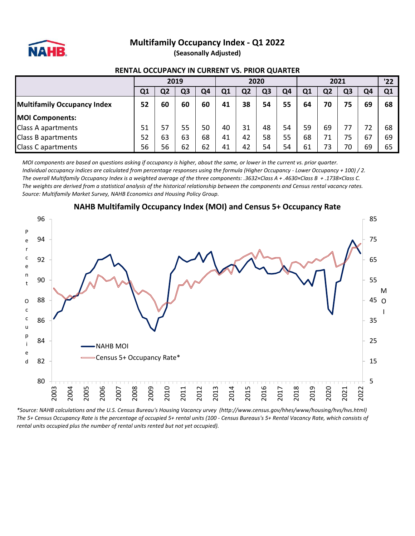

#### **Multifamily Occupancy Index - Q1 2022 (Seasonally Adjusted)**

#### **RENTAL OCCUPANCY IN CURRENT VS. PRIOR QUARTER**

|                                    | 2019           |    |    |    | 2020 |                |                |    | 2021 |    |    |    | '22          |
|------------------------------------|----------------|----|----|----|------|----------------|----------------|----|------|----|----|----|--------------|
|                                    | Q <sub>1</sub> | Q2 | Q3 | Q4 | Q1   | Q <sub>2</sub> | Q <sub>3</sub> | Q4 | Q1   | Q2 | Ο3 | O4 | $\mathbf{Q}$ |
| <b>Multifamily Occupancy Index</b> | 52             | 60 | 60 | 60 | 41   | 38             | 54             | 55 | 64   | 70 | 75 | 69 | 68           |
| <b>MOI Components:</b>             |                |    |    |    |      |                |                |    |      |    |    |    |              |
| Class A apartments                 | 51             | 57 | 55 | 50 | 40   | 31             | 48             | 54 | 59   | 69 |    |    | 68           |
| Class B apartments                 | 52             | 63 | 63 | 68 | 41   | 42             | 58             | 55 | 68   |    | 75 | 67 | 69           |
| <b>Class C apartments</b>          | 56             | 56 | 62 | 62 | 41   | 42             | 54             | 54 | 61   | 73 | 70 | 69 | 65           |

*MOI components are based on questions asking if occupancy is higher, about the same, or lower in the current vs. prior quarter. Individual occupancy indices are calculated from percentage responses using the formula (Higher Occupancy - Lower Occupancy + 100) / 2. The overall Multifamily Occupancy Index is a weighted average of the three components: .3632×Class A + .4630×Class B + .1738×Class C. The weights are derived from a statistical analysis of the historical relationship between the components and Census rental vacancy rates. Source: Multifamily Market Survey, NAHB Economics and Housing Policy Group.*



#### **NAHB Multifamily Occupancy Index (MOI) and Census 5+ Occupancy Rate**

*\*Source: NAHB calculations and the U.S. Census Bureau's Housing Vacancy urvey (http://www.census.gov/hhes/www/housing/hvs/hvs.html) The 5+ Census Occupancy Rate is the percentage of occupied 5+ rental units (100 - Census Bureaus's 5+ Rental Vacancy Rate, which consists of rental units occupied plus the number of rental units rented but not yet occupied).*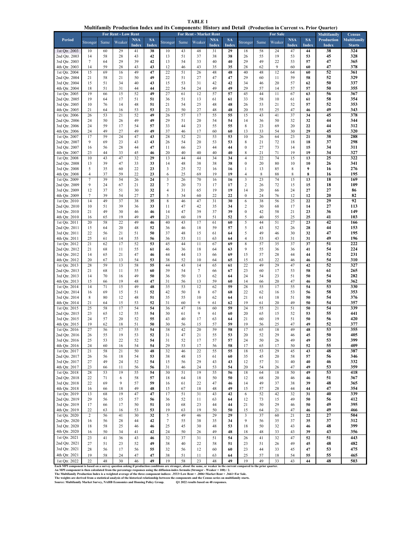|  |  | Multifamily Production Index and its Components: History and Detail (Production in Current vs. Prior Quarter) |  |  |
|--|--|---------------------------------------------------------------------------------------------------------------|--|--|
|  |  |                                                                                                               |  |  |
|  |  |                                                                                                               |  |  |

**TABLE 1**

|                                |                |          | For Rent - Low Rent |                     |                    |                         |          | <b>For Rent - Market Rent</b> |                     |                    |                          |             | <b>For Sale</b> |                            |                    | минианну гтойценон ниех ана из сотрошенся. тизкогу ана осеан дттойценон нг сиггене vs. гтюг Quarter)<br><b>Multifamily</b> | <b>Census</b>                |
|--------------------------------|----------------|----------|---------------------|---------------------|--------------------|-------------------------|----------|-------------------------------|---------------------|--------------------|--------------------------|-------------|-----------------|----------------------------|--------------------|----------------------------------------------------------------------------------------------------------------------------|------------------------------|
| Period                         | Stronger       | Same     | Weaker              | <b>NSA</b><br>Index | <b>SA</b><br>Index | Stronger                | Same     | Weaker                        | <b>NSA</b><br>Index | <b>SA</b><br>Index | Stronger                 | Same        | Weaker          | <b>NSA</b><br><b>Index</b> | <b>SA</b><br>Index | Production<br>Index                                                                                                        | Multifamily<br><b>Starts</b> |
| 1st Qtr. 2003                  | 10             | 60       | 29                  | 41                  | 38                 | 10                      | 43       | 48                            | 31                  | 29                 | 18                       | 58          | 24              | 47                         | 44                 | 38                                                                                                                         | 324                          |
| 2nd Qtr. 2003                  | 14             | 58       | 28                  | 43                  | 42                 | 13                      | 51       | 37                            | 38                  | 38                 | 26                       | 55          | 19              | 53                         | 53                 | 45                                                                                                                         | 328                          |
| 3rd Qtr. 2003                  | 7              | 64       | 29                  | 39                  | 42                 | 13                      | 54       | 33                            | 40                  | 40                 | 29                       | 49          | 22              | 53                         | 57                 | 47                                                                                                                         | 365                          |
| 4th Qtr. 2003<br>1st Qtr. 2004 | 14<br>15       | 59       | 28                  | 43<br>49            | 43<br>47           | 12                      | 46       | 43                            | 35<br>48            | 35                 | 28<br>40                 | 62<br>48    | 9<br>12         | 60                         | 60                 | 47                                                                                                                         | 378                          |
| 2nd Qtr. 2004                  | 21             | 69<br>58 | 16<br>21            | 50                  | 49                 | 22<br>22                | 51<br>51 | 26<br>27                      | 47                  | 48<br>47           | 29                       | 60          | 11              | 64<br>59                   | 60<br>58           | 52<br>52                                                                                                                   | 361<br>329                   |
| 3rd Qtr. 2004                  | 15             | 51       | 34                  | 40                  | 43                 | 15                      | 53       | 31                            | 42                  | 42                 | 34                       | 46          | 20              | 57                         | 62                 | 50                                                                                                                         | 337                          |
| 4th Qtr. 2004                  | 18             | 51       | 31                  | 44                  | 44                 | 22                      | 54       | 24                            | 49                  | 49                 | 29                       | 57          | 14              | 57                         | 57                 | 50                                                                                                                         | 355                          |
| 1st Qtr. 2005                  | 19             | 66       | 15                  | 52                  | 49                 | 27                      | 61       | 12                            | 57                  | 57                 | 45                       | 44          | 11              | 67                         | 63                 | 56                                                                                                                         | 367                          |
| 2nd Qtr. 2005                  | 19             | 64       | 17                  | 51                  | 51                 | 36                      | 51       | 13                            | 61                  | 61                 | 33                       | 58          | 10              | 61                         | 61                 | 58                                                                                                                         | 354                          |
| 3rd Qtr. 2005                  | 10             | 76       | 14                  | 48                  | 51                 | 21                      | 54       | 25                            | 48                  | 48                 | 26                       | 53          | 21              | 52                         | 57                 | 52                                                                                                                         | 353                          |
| 4th Qtr. 2005                  | 21             | 64       | 16                  | 53                  | 53                 | 23                      | 50       | 27                            | 48                  | 48                 | 20                       | 55          | 25              | 47                         | 46                 | 49                                                                                                                         | 343                          |
| 1st Qtr. 2006<br>2nd Qtr. 2006 | 26<br>24       | 53<br>50 | 21                  | 52<br>49            | 49<br>49           | 26<br>29                | 57<br>51 | 17                            | 55<br>54            | 55                 | 15<br>14                 | 43          | 41<br>50        | 37                         | 34<br>32           | 45<br>44                                                                                                                   | 378<br>344                   |
| 3rd Qtr. 2006                  | 24             | 59       | 26<br>17            | 54                  | 57                 | 33                      | 44       | 20<br>23                      | 55                  | 54<br>55           | 8                        | 36<br>23    | 69              | 32<br>20                   | 22                 | 44                                                                                                                         | 312                          |
| 4th Qtr. 2006                  | 24             | 49       | 27                  | 49                  | 49                 | 37                      | 46       | 17                            | 60                  | 60                 | 13                       | 33          | 54              | 30                         | 29                 | 45                                                                                                                         | 320                          |
| 1st Qtr. 2007                  | 17             | 59       | 24                  | 47                  | 43                 | 28                      | 52       | 21                            | 53                  | 53                 | 10                       | 26          | 64              | 23                         | 21                 | 38                                                                                                                         | 288                          |
| 2nd Qtr. 2007                  | 9              | 69       | 23                  | 43                  | 43                 | 26                      | 54       | 20                            | 53                  | 53                 | 8                        | 21          | 72              | 18                         | 18                 | 37                                                                                                                         | 298                          |
| 3rd Qtr. 2007                  | 16             | 56       | 28                  | 44                  | 47                 | 11                      | 66       | 23                            | 44                  | 44                 | $\bf{0}$                 | 27          | 73              | 14                         | 15                 | 34                                                                                                                         | 311                          |
| 4th Qtr. 2007                  | 23             | 44       | 33                  | 45                  | 46                 | 20                      | 40       | 40                            | 40                  | 40                 | 8                        | 21          | 71              | 19                         | 19                 | 34                                                                                                                         | 327                          |
| 1st Qtr. 2008                  | 10             | 43       | 47                  | 32                  | 29                 | 13                      | 44       | 44                            | 34                  | 34                 | $\overline{4}$           | 22          | 74              | 15                         | 13                 | 25                                                                                                                         | 322                          |
| 2nd Qtr. 2008<br>3rd Qtr. 2008 | 13<br>5        | 39<br>35 | 47<br>60            | 33<br>22            | 33<br>23           | 14<br>3                 | 48<br>25 | 38<br>72                      | 38<br>16            | 38<br>16           | $\bf{0}$<br>$\mathbf{1}$ | 20<br>13    | 80<br>85        | 10<br>$\,$ 8 $\,$          | 10<br>9            | 26<br>16                                                                                                                   | 341<br>276                   |
| 4th Qtr. 2008                  | $\overline{4}$ | 37       | 59                  | 22                  | 23                 | 6                       | 25       | 69                            | 19                  | 19                 | $\overline{4}$           | $\,$ 8 $\,$ | 88              | $\,$ 8 $\,$                | ${\bf 8}$          | 16                                                                                                                         | 195                          |
| 1st Qtr. 2009                  | 7              | 39       | 54                  | 26                  | 24                 | $\overline{\mathbf{3}}$ | 26       | 70                            | 16                  | 16                 | $\overline{\mathbf{3}}$  | 23          | 74              | 15                         | 13                 | 18                                                                                                                         | 169                          |
| 2nd Otr. 2009                  | 9              | 24       | 67                  | 21                  | 22                 | $\tau$                  | 20       | 73                            | 17                  | 17                 | 2                        | 26          | 72              | 15                         | 15                 | 18                                                                                                                         | 109                          |
| 3rd Qtr. 2009                  | 12             | 37       | 51                  | 30                  | 32                 | $\overline{4}$          | 31       | 65                            | 19                  | 19                 | 14                       | 20          | 66              | 24                         | 27                 | 27                                                                                                                         | 86                           |
| 4th Qtr. 2009                  | 7              | 39       | 54                  | 27                  | 27                 | 5                       | 34       | 60                            | 22                  | 22                 | $\boldsymbol{0}$         | 24          | 76              | 12                         | 12                 | 20                                                                                                                         | 82                           |
| 1st Qtr. 2010                  | 14             | 49       | 37                  | 38                  | 35                 | $\,$ 8 $\,$             | 46       | 47                            | 31                  | 30                 | 6                        | 38          | 56              | 25                         | 22                 | 29                                                                                                                         | 92                           |
| 2nd Qtr. 2010<br>3rd Qtr. 2010 | 10             | 51       | 39<br>30            | 36                  | 33                 | 11                      | 47<br>47 | 42<br>39                      | 35                  | 34                 | 2<br>$\boldsymbol{0}$    | 30          | 68              | 17                         | 14                 | 27<br>36                                                                                                                   | 113                          |
| 4th Qtr. 2010                  | 21<br>16       | 49<br>65 | 19                  | 46<br>49            | 46<br>49           | 14<br>21                | 60       | 19                            | 37<br>51            | 39<br>52           | 5                        | 42<br>40    | 58<br>55        | 21<br>25                   | 23<br>25           | 41                                                                                                                         | 149<br>103                   |
| 1st Qtr. 2011                  | 20             | 58       | 22                  | 49                  | 46                 | 40                      | 43       | 17                            | 61                  | 60                 | 5                        | 44          | 51              | 27                         | 23                 | 42                                                                                                                         | 166                          |
| 2nd Qtr. 2011                  | 15             | 64       | 20                  | 48                  | 52                 | 36                      | 46       | 18                            | 59                  | 57                 | 5                        | 43          | 52              | 26                         | 28                 | 44                                                                                                                         | 153                          |
| 3rd Qtr. 2011                  | 22             | 56       | 21                  | 51                  | 50                 | 37                      | 48       | 15                            | 61                  | 64                 | 5                        | 49          | 46              | 30                         | 32                 | 47                                                                                                                         | 195                          |
| 4th Qtr. 2011                  | 25             | 61       | 14                  | 55                  | 56                 | 36                      | 53       | 11                            | 63                  | 64                 | $\overline{4}$           | 53          | 43              | 31                         | 31                 | 49                                                                                                                         | 196                          |
| 1st Qtr. 2012                  | 21             | 62       | 17                  | 52                  | 53                 | 45                      | 44       | 11                            | 67                  | 69                 | $\,8\,$                  | 57          | 35              | 37                         | 37                 | 51                                                                                                                         | 222                          |
| 2nd Qtr. 2012                  | 21             | 68       | 11                  | 55                  | 61                 | 46                      | 36       | 18                            | 64                  | 63                 | 9                        | 55          | 36              | 36                         | 41                 | 54                                                                                                                         | 224                          |
| 3rd Qtr. 2012<br>4th Qtr. 2012 | 14             | 65<br>67 | 21                  | 47<br>54            | 46                 | 44                      | 44       | 13                            | 66                  | 69<br>65           | 15<br>15                 | 57          | 28              | 44                         | 44<br>46           | 52<br>54                                                                                                                   | 231<br>310                   |
| 1st Qtr. 2013                  | 20<br>28       | 59       | 13<br>13            | 58                  | 53<br>55           | 38<br>44                | 52<br>43 | 10<br>14                      | 64<br>65            | 61                 | 22                       | 63<br>49    | 22<br>29        | 46<br>47                   | 42                 | 52                                                                                                                         | 327                          |
| 2nd Qtr. 2013                  | 21             | 68       | 11                  | 55                  | 60                 | 39                      | 54       | $\tau$                        | 66                  | 67                 | 23                       | 60          | 17              | 53                         | 58                 | 61                                                                                                                         | 265                          |
| 3rd Qtr. 2013                  | 14             | 70       | 16                  | 49                  | 50                 | 36                      | 50       | 13                            | 62                  | 64                 | 24                       | 54          | 23              | 51                         | 50                 | 54                                                                                                                         | 282                          |
| 4th Qtr. 2013                  | 15             | 66       | 19                  | 48                  | 47                 | 31                      | 56       | 13                            | 59                  | 60                 | 14                       | 66          | 20              | 47                         | 46                 | 50                                                                                                                         | 362                          |
| 1st Qtr. 2014                  | 14             | 71       | 15                  | 49                  | 48                 | 35                      | 53       | 12                            | 62                  | 59                 | 28                       | 55          | 17              | 55                         | 54                 | 53                                                                                                                         | 330                          |
| 2nd Qtr. 2014                  | 16             | 69       | 15                  | 51                  | 52                 | 42                      | 50       | 8                             | 67                  | 68                 | 22                       | 62          | 16              | 53                         | 56                 | 58                                                                                                                         | 353                          |
| 3rd Qtr. 2014<br>4th Qtr. 2014 | 8              | 80       | 12                  | 48                  | 51                 | 35                      | 55       | 10<br>9                       | 62                  | 64                 | 21                       | 61          | 18              | 51                         | 50                 | 54                                                                                                                         | 376                          |
| 1st Qtr. 2015                  | 21<br>25       | 64<br>58 | 15<br>17            | 53<br>54            | 52<br>54           | 31<br>36                | 60<br>47 | 16                            | 61<br>60            | 62<br>59           | 19<br>24                 | 61<br>55    | 20<br>21        | 49<br>51                   | 50<br>50           | 54<br>54                                                                                                                   | 357<br>339                   |
| 2nd Qtr. 2015                  | 23             | 65       | 12                  | 55                  | 54                 | 30                      | 61       | 9                             | 61                  | 60                 | 20                       | 65          | 15              | 52                         | 53                 | 55                                                                                                                         | 441                          |
| 3rd Qtr. 2015                  | 24             | 57       | 20                  | 52                  | 55                 | 43                      | 40       | 17                            | 63                  | 64                 | 21                       | 60          | 19              | 51                         | 50                 | 56                                                                                                                         | 420                          |
| 4th Qtr. 2015                  | 19             | 62       | 18                  | 51                  | 50                 | 30                      | 56       | 15                            | 57                  | 59                 | 19                       | 56          | 25              | 47                         | 49                 | 52                                                                                                                         | 377                          |
| 1st Qtr. 2016                  | 27             | 56       | 17                  | 55                  | 54                 | 38                      | 42       | 20                            | 59                  | 58                 | 17                       | 65          | 18              | 49                         | 48                 | 53                                                                                                                         | 355                          |
| 2nd Qtr. 2016                  | 26             | 55       | 19                  | 53                  | 52                 | 31                      | 47       | 21                            | 55                  | 53                 | 20                       | 52          | 29              | 46                         | 45                 | 50                                                                                                                         | 405                          |
| 3rd Qtr. 2016                  | 25             | 53       | 22                  | 52                  | 54                 | 31                      | 52       | 17                            | 57                  | 57                 | 24                       | 50          | 26              | 49                         | 49                 | 53                                                                                                                         | 399                          |
| 4th Qtr. 2016<br>1st Qtr. 2017 | 24<br>21       | 60<br>58 | 16<br>21            | 54<br>50            | 54<br>48           | 29<br>32                | 53<br>46 | 17<br>22                      | 56<br>55            | 58<br>55           | 17<br>18                 | 65<br>53    | 17<br>29        | 50<br>45                   | 52<br>43           | 55<br>48                                                                                                                   | 409<br>387                   |
| 2nd Qtr. 2017                  | 26             | 56       | 18                  | 54                  | 53                 | 38                      | 48       | 15                            | 61                  | 60                 | 35                       | 45          | 20              | 58                         | 57                 | 56                                                                                                                         | 346                          |
| 3rd Qtr. 2017                  | 27             | 49       | 24                  | 52                  | 54                 | 15                      | 56       | 29                            | 43                  | 43                 | 12                       | 57          | 31              | 40                         | 40                 | 46                                                                                                                         | 332                          |
| 4th Qtr. 2017                  | 23             | 66       | 11                  | 56                  | 56                 | 31                      | 46       | 24                            | 53                  | 54                 | 20                       | 54          | 26              | 47                         | 49                 | 53                                                                                                                         | 359                          |
| 1st Qtr. 2018                  | 28             | 53       | 19                  | 55                  | 54                 | 30                      | 51       | 19                            | 55                  | 56                 | 18                       | 64          | 18              | 50                         | 49                 | 53                                                                                                                         | 418                          |
| 2nd Qtr. 2018                  | 22             | 71       | 6                   | 58                  | 57                 | 18                      | 64       | 18                            | 50                  | 50                 | 12                       | 68          | 20              | 46                         | 46                 | 51                                                                                                                         | 367                          |
| 3rd Qtr. 2018                  | 22             | 69       | 9                   | 57                  | 59                 | 16                      | 61       | 22                            | 47                  | 46                 | 14                       | 49          | 37              | 38                         | 39                 | 48                                                                                                                         | 365                          |
| 4th Qtr. 2018<br>1st Qtr. 2019 | 16<br>13       | 66<br>68 | 18<br>19            | 49<br>47            | 48<br>47           | 15<br>17                | 67<br>51 | 18<br>31                      | 48<br>43            | 49<br>42           | 15<br>6                  | 57<br>52    | 28<br>42        | 44<br>32                   | 44<br>31           | 47<br>40                                                                                                                   | 354<br>339                   |
| 2nd Qtr. 2019                  | 29             | 56       | 15                  | 57                  | 56                 | 36                      | 52       | 11                            | 63                  | 64                 | 12                       | 73          | 15              | 49                         | 50                 | 56                                                                                                                         | 412                          |
| 3rd Qtr. 2019                  | 17             | 66       | 17                  | 50                  | 51                 | 10                      | 68       | 23                            | 44                  | 44                 | 21                       | 50          | 29              | 46                         | 50                 | 49                                                                                                                         | 395                          |
| 4th Qtr. 2019                  | 22             | 63       | 16                  | 53                  | 53                 | 19                      | 63       | 19                            | 50                  | 50                 | 15                       | 64          | 21              | 47                         | 46                 | 49                                                                                                                         | 466                          |
| 1st Qtr. 2020                  | $\overline{c}$ | 56       | 41                  | 30                  | 32                 | $\sqrt{5}$              | 49       | 46                            | 29                  | 29                 | $\overline{3}$           | 37          | 60              | 21                         | 22                 | 27                                                                                                                         | 504                          |
| 2nd Qtr. 2020                  | 16             | 56       | 28                  | 44                  | 42                 | $\tau$                  | 55       | 38                            | 35                  | 34                 | 9                        | 56          | 35              | 37                         | 35                 | 37                                                                                                                         | 312                          |
| 3rd Qtr. 2020                  | 18             | 58       | 25                  | 46                  | 46                 | 25                      | 45       | 30                            | 48                  | 53                 | 18                       | 50          | 32              | 43                         | 46                 | 48                                                                                                                         | 399                          |
| 4th Qtr. 2020                  | 16             | 50       | 34                  | 41                  | 42                 | 24                      | 50       | 26                            | 49                  | 48                 | 18                       | 48          | 33              | 43                         | 39                 | 43                                                                                                                         | 356                          |
| 1st Qtr. 2021                  | 23             | 41       | 36                  | 43                  | 46                 | 32                      | 37       | 31                            | 51                  | 54                 | 26                       | 41          | 32              | 47                         | 52                 | 51                                                                                                                         | 443                          |
| 2nd Qtr. 2021                  | 27             | 51       | 23                  | 52                  | 49                 | 38                      | 40       | 22                            | 58                  | 51                 | 23                       | 51          | 26              | 49                         | 45                 | 48                                                                                                                         | 482                          |
| 3rd Qtr. 2021                  | 28             | 56       | 17                  | 56                  | 55                 | 32                      | 56       | 12                            | 60                  | 60                 | 23                       | 44          | 33              | 45                         | 47                 | 53                                                                                                                         | 475                          |
| 4th Qtr. 2021                  | 19             | 58       | 24                  | 47                  | 47                 | 38                      | 51       | 11                            | 63                  | 64                 | 25                       | 57          | 18              | 54                         | 55                 | 55<br>$\overline{ }$                                                                                                       | 465<br>$\sim$ 0.0            |

1 st Qtr. 2022 2 48 30 46 49 19 58 23 48 49 19 49 33 43 44 48 503<br>Each MPI tomponent is based on a survey question asking if production conditions are stronger, about the same, or weaker in the current compared to the pri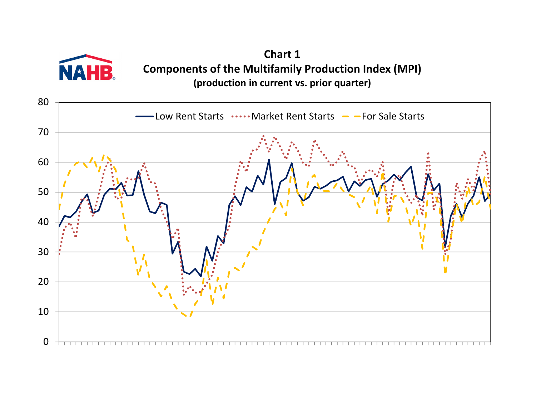

**Chart 1 Components of the Multifamily Production Index (MPI) (production in current vs. prior quarter)**

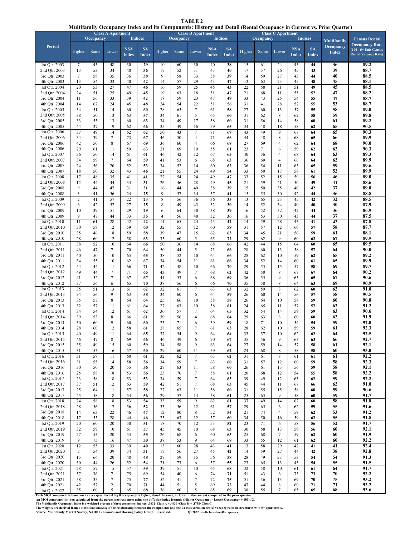**TABLE 2 Multifamily Occupancy Index and its Components: History and Detail (Rental Occupancy in Current vs. Prior Quarter)**

|                                                                                                                                                                                                                                                                                                                    |                | Occupancy | <b>Class A Apartment</b> |                            | <b>Indices</b>            |          | Occupancy | <b>Class B Apartment</b>               |                            | <b>Indices</b>            |          | Occupancy | <b>Class C Apartment</b> |                            | <b>Indices</b>            |                                                 | <b>Census Rental</b>                                                             |  |
|--------------------------------------------------------------------------------------------------------------------------------------------------------------------------------------------------------------------------------------------------------------------------------------------------------------------|----------------|-----------|--------------------------|----------------------------|---------------------------|----------|-----------|----------------------------------------|----------------------------|---------------------------|----------|-----------|--------------------------|----------------------------|---------------------------|-------------------------------------------------|----------------------------------------------------------------------------------|--|
| <b>Period</b>                                                                                                                                                                                                                                                                                                      | Higher         | Same      | Lower                    | <b>NSA</b><br><b>Index</b> | <b>SA</b><br><b>Index</b> | Higher   | Same      | Lower                                  | <b>NSA</b><br><b>Index</b> | <b>SA</b><br><b>Index</b> | Higher   | Same      | Lower                    | <b>NSA</b><br><b>Index</b> | <b>SA</b><br><b>Index</b> | <b>Multifamily</b><br>Occupancy<br><b>Index</b> | <b>Occupancy Rate</b><br>$(100 - 5 +$ Unit Census<br><b>Rental Vacancy Rate)</b> |  |
| 1st Qtr. 2003                                                                                                                                                                                                                                                                                                      | 7              | 45        | 48                       | 30                         | 29                        | 10       | 60        | 30                                     | 40                         | 38                        | 15       | 61        | 24                       | 45                         | 44                        | 36                                              | 89.2                                                                             |  |
| 2nd Qtr. 2003                                                                                                                                                                                                                                                                                                      | 13             | 53        | 34                       | 40                         | 36                        | 17       | 52        | 31                                     | 43                         | 40                        | 17       | 57        | 26                       | 45                         | 43                        | 39                                              | 88.7                                                                             |  |
| 3rd Qtr. 2003<br>4th Qtr. 2003                                                                                                                                                                                                                                                                                     | 7<br>13        | 58<br>54  | 35<br>33                 | 36<br>40                   | 38<br>42                  | 9<br>14  | 58<br>57  | 33<br>29                               | 38<br>43                   | 39<br>47                  | 14<br>13 | 59<br>63  | 27<br>23                 | 43<br>45                   | 44<br>48                  | 40<br>45                                        | 88.5<br>88.1                                                                     |  |
| 1st Qtr. 2004                                                                                                                                                                                                                                                                                                      | 20             | 53        | 27                       | 47                         | 46                        | 16       | 59        | 25                                     | 45                         | 43                        | 22       | 58        | 21                       | 51                         | 49                        | 45                                              | 88.5                                                                             |  |
| 2nd Qtr. 2004                                                                                                                                                                                                                                                                                                      | 24             | 51        | 25                       | 49                         | 45                        | 19       | 63        | 18                                     | 51                         | 47                        | 21       | 68        | 11                       | 55                         | 52                        | 47                                              | 88.2                                                                             |  |
| 3rd Qtr. 2004                                                                                                                                                                                                                                                                                                      | 11             | 56        | 33                       | 39                         | 42                        | 18       | 59        | 23                                     | 47                         | 49                        | 33       | 43        | 25                       | 54                         | 55                        | 47                                              | 88.7                                                                             |  |
| 4th Otr. 2004                                                                                                                                                                                                                                                                                                      | 14             | 62        | 24                       | 45                         | 48                        | 24       | 54        | 22                                     | 51                         | 56                        | 31       | 41        | 28                       | 52                         | 55                        | 53                                              | 88.7                                                                             |  |
| 1st Qtr. 2005                                                                                                                                                                                                                                                                                                      | 34             | 51        | 14                       | 60                         | 60                        | 28       | 65        | $\tau$                                 | 61                         | 58                        | 27       | 60        | 13                       | 57                         | 55                        | 58                                              | 89.0                                                                             |  |
| 2nd Qtr. 2005                                                                                                                                                                                                                                                                                                      | 38             | 50        | 13                       | 63                         | 57                        | 34       | 61        | $\sqrt{5}$                             | 65                         | 60                        | 31       | 62        | 8                        | 62                         | 58                        | 59                                              | 89.8                                                                             |  |
| 3rd Qtr. 2005<br>4th Qtr. 2005                                                                                                                                                                                                                                                                                     | 33             | 55        | 13<br>19                 | 60                         | 63                        | 34       | 49        | 17                                     | 58                         | 60                        | 31       | 56        | 14                       | 58                         | 60                        | 61                                              | 89.2<br>90.5                                                                     |  |
| 1st Qtr. 2006                                                                                                                                                                                                                                                                                                      | 44<br>37       | 37<br>49  | 14                       | 62<br>62                   | 66<br>62                  | 35<br>50 | 49<br>43  | 16<br>$\overline{7}$                   | 59<br>71                   | 65<br>69                  | 34<br>43 | 48<br>49  | 18<br>9                  | 58<br>67                   | 62<br>64                  | 65<br>65                                        | 90.3                                                                             |  |
| 2nd Qtr. 2006                                                                                                                                                                                                                                                                                                      | 54             | 39        | 7                        | 73                         | 67                        | 46       | 50        | $\overline{4}$                         | 71                         | 66                        | 44       | 48        | 8                        | 68                         | 65                        | 66                                              | 89.9                                                                             |  |
| 3rd Qtr. 2006                                                                                                                                                                                                                                                                                                      | 42             | 50        | 8                        | 67                         | 69                        | 36       | 60        | $\overline{4}$                         | 66                         | 68                        | 27       | 69        | $\overline{\mathcal{L}}$ | 62                         | 64                        | 68                                              | 90.0                                                                             |  |
| 4th Qtr. 2006                                                                                                                                                                                                                                                                                                      | 29             | 61        | 11                       | 59                         | 63                        | 21       | 69        | 10                                     | 55                         | 61                        | 23       | 71        | 6                        | 59                         | 62                        | 62                                              | 90.3                                                                             |  |
| 1st Qtr. 2007                                                                                                                                                                                                                                                                                                      | 36             | 50        | 14                       | 61                         | 61                        | 46       | 42        | 12                                     | 67                         | 65                        | 40       | 56        | $\overline{\mathcal{L}}$ | 68                         | 64                        | 63                                              | 89.3                                                                             |  |
| 2nd Qtr. 2007                                                                                                                                                                                                                                                                                                      | 34             | 59        | 7                        | 64                         | 59                        | 41       | 53        | 6                                      | 68                         | 63                        | 36       | 60        | 4                        | 66                         | 64                        | 62                                              | 89.9                                                                             |  |
| 3rd Qtr. 2007<br>4th Qtr. 2007                                                                                                                                                                                                                                                                                     | 24<br>18       | 56<br>50  | 20<br>32                 | 52<br>43                   | 53<br>46                  | 34<br>21 | 52<br>55  | 14<br>24                               | 60<br>49                   | 62<br>54                  | 36<br>33 | 54<br>50  | 11<br>17                 | 63<br>58                   | 65<br>61                  | 59<br>52                                        | 89.6<br>89.9                                                                     |  |
| 1st Qtr. 2008                                                                                                                                                                                                                                                                                                      | 17             | 48        | 35                       | 41                         | 41                        | 22       | 54        | 24                                     | 49                         | 47                        | 33       | 52        | 15                       | 59                         | 56                        | 46                                              | 89.0                                                                             |  |
| 2nd Qtr. 2008                                                                                                                                                                                                                                                                                                      | 12             | 44        | 44                       | 34                         | 31                        | 26       | 46        | 28                                     | 49                         | 45                        | 21       | 59        | 21                       | 50                         | 49                        | 41                                              | 88.6                                                                             |  |
| 3rd Qtr. 2008                                                                                                                                                                                                                                                                                                      | 9              | 44        | 47                       | 31                         | 31                        | 16       | 44        | 40                                     | 38                         | 39                        | 15       | 50        | 35                       | 40                         | 42                        | 37                                              | 89.0                                                                             |  |
| 4th Qtr. 2008                                                                                                                                                                                                                                                                                                      | 3              | 41        | 56                       | 24                         | 25                        | 9        | 57        | 34                                     | 37                         | 41                        | 15       | 55        | 30                       | 42                         | 44                        | 36                                              | 88.8                                                                             |  |
| 1st Qtr. 2009                                                                                                                                                                                                                                                                                                      | $\overline{c}$ | 41        | 57                       | 22                         | 23                        | 8        | 56        | 36                                     | 36                         | 35                        | 13       | 65        | 23                       | 45                         | 42                        | 32                                              | 88.5                                                                             |  |
| 2nd Qtr. 2009                                                                                                                                                                                                                                                                                                      | 6              | 42        | 52                       | 27                         | 25                        | 8        | 49        | 43                                     | 32                         | 30                        | 14       | 52        | 34                       | 40                         | 40                        | 30                                              | 87.9                                                                             |  |
| 3rd Qtr. 2009<br>4th Qtr. 2009                                                                                                                                                                                                                                                                                     | 10<br>9        | 39<br>47  | 51<br>44                 | 29<br>33                   | 29<br>35                  | 6<br>4   | 64<br>56  | 30<br>40                               | 38<br>32                   | 39<br>36                  | 16<br>16 | 52<br>53  | 32<br>30                 | 42<br>43                   | 44<br>44                  | 36<br>37                                        | 86.9<br>87.5                                                                     |  |
| 1st Qtr. 2010                                                                                                                                                                                                                                                                                                      | 11             | 61        | 28                       | 42                         | 42                        | 11       | 65        | 24                                     | 43                         | 42                        | 14       | 59        | 28                       | 43                         | 41                        | 42                                              | 87.8                                                                             |  |
| 2nd Qtr. 2010                                                                                                                                                                                                                                                                                                      | 30             | 58        | 12                       | 59                         | 60                        | 32       | 55        | 12                                     | 60                         | 58                        | 31       | 57        | 12                       | 60                         | 57                        | 58                                              | 87.7                                                                             |  |
| 3rd Qtr. 2010                                                                                                                                                                                                                                                                                                      | 35             | 46        | 18                       | 59                         | 58                        | 39       | 47        | 15                                     | 62                         | 63                        | 34       | 45        | 21                       | 56                         | 59                        | 61                                              | 88.1                                                                             |  |
| 4th Qtr. 2010                                                                                                                                                                                                                                                                                                      | 28             | 60        | 12                       | 58                         | 63                        | 35       | 60        | 5                                      | 65                         | 72                        | 29       | 62        | 9                        | 60                         | 62                        | 67                                              | 89.5                                                                             |  |
| 1st Qtr. 2011                                                                                                                                                                                                                                                                                                      | 38             | 52        | 10                       | 64                         | 66                        | 50       | 36        | 14                                     | 68                         | 66                        | 42       | 44        | 15                       | 64                         | 60                        | 65                                              | 89.5                                                                             |  |
| 2nd Qtr. 2011                                                                                                                                                                                                                                                                                                      | 46             | 47<br>50  | 7<br>10                  | 70<br>65                   | 64<br>65                  | 50<br>38 | 44<br>52  | 5<br>10                                | 73<br>64                   | 66                        | 28<br>28 | 60<br>62  | 13<br>10                 | 58<br>59                   | 57<br>62                  | 64<br>65                                        | 90.0<br>89.2                                                                     |  |
| 3rd Qtr. 2011<br>4th Qtr. 2011                                                                                                                                                                                                                                                                                     | 40<br>34       | 55        | 10                       | 62                         | 67                        | 34       | 54        | 11                                     | 61                         | 66<br>66                  | 34       | 52        | 14                       | 60                         | 61                        | 65                                              | 89.9                                                                             |  |
| 1st Qtr. 2012                                                                                                                                                                                                                                                                                                      | 44             | 44        | 11                       | 66                         | 71                        | 42       | 48        | 10                                     | 66                         | 70                        | 29       | 55        | 15                       | 57                         | 58                        | 69                                              | 89.7                                                                             |  |
| 2nd Qtr. 2012                                                                                                                                                                                                                                                                                                      | 49             | 44        | $\tau$                   | 71                         | 65                        | 43       | 49        | $\overline{7}$                         | 68                         | 62                        | 42       | 50        | 8                        | 67                         | 67                        | 64                                              | 90.2                                                                             |  |
| 3rd Qtr. 2012                                                                                                                                                                                                                                                                                                      | 41             | 52        | $\tau$                   | 67                         | 67                        | 41       | 53        | 6                                      | 68                         | 69                        | 36       | 55        | 9                        | 63                         | 65                        | 67                                              | 90.6                                                                             |  |
| 4th Qtr. 2012                                                                                                                                                                                                                                                                                                      | 37             | 56        | 6                        | 65                         | 70                        | 38       | 56        | 6                                      | 66                         | 70                        | 35       | 58        | 8                        | 64                         | 63                        | 69                                              | 90.9                                                                             |  |
| 1st Qtr. 2013                                                                                                                                                                                                                                                                                                      | 35             | 51        | 13                       | 61                         | 62                        | 32       | 61        | $\tau$                                 | 63                         | 63                        | 32       | 59        | 8                        | 62                         | 60                        | 62                                              | 91.0                                                                             |  |
| 2nd Qtr. 2013<br>3rd Qtr. 2013                                                                                                                                                                                                                                                                                     | 34             | 56<br>57  | 9<br>$\,$ 8 $\,$         | 63<br>64                   | 58<br>64                  | 34       | 60<br>66  | 6                                      | 64<br>58                   | 59                        | 26<br>26 | 60<br>64  | 14<br>10                 | 56                         | 57<br>59                  | 58<br>60                                        | 90.5<br>90.8                                                                     |  |
| 4th Qtr. 2013                                                                                                                                                                                                                                                                                                      | 35<br>32       | 57        | 11                       | 61                         | 64                        | 25<br>27 | 63        | 10<br>10                               | 58                         | 58<br>61                  | 24       | 65        | 11                       | 58<br>57                   | 57                        | 62                                              | 91.2                                                                             |  |
| 1st Qtr. 2014                                                                                                                                                                                                                                                                                                      | 34             | 54        | 12                       | 61                         | 62                        | 36       | 57        | $\overline{7}$                         | 64                         | 65                        | 32       | 54        | 14                       | 59                         | 59                        | 63                                              | 90.6                                                                             |  |
| 2nd Otr. 2014                                                                                                                                                                                                                                                                                                      | 39             | 53        | 8                        | 66                         | 61                        | 39       | 56        | $\overline{4}$                         | 68                         | 64                        | 29       | 63        | 8                        | 60                         | 60                        | 62                                              | 91.9                                                                             |  |
| 3rd Qtr. 2014                                                                                                                                                                                                                                                                                                      | 30             | 60        | 9                        | 60                         | 60                        | 23       | 71        | 6                                      | 59                         | 59                        | 18       | 71        | 10                       | 54                         | 54                        | 59                                              | 92.0                                                                             |  |
| 4th Qtr. 2014                                                                                                                                                                                                                                                                                                      | 28             | 60        | 12                       | 58                         | 61                        | 28       | 65        | $\tau$                                 | 61                         | 63                        | 28       | 62        | 10                       | 59                         | 59                        | 61                                              | 92.3                                                                             |  |
| 1st Otr. 2015                                                                                                                                                                                                                                                                                                      | 40             | 49        | 11                       | 64                         | 65                        | 37       | 54        | $\mathbf Q$                            | 64                         | 64                        | 33       | 57        | 10                       | 62                         | 62                        | 64                                              | 92.5                                                                             |  |
| 2nd Qtr. 2015<br>3rd Qtr. 2015                                                                                                                                                                                                                                                                                     | 46<br>35       | 47<br>49  | $\,$ 8 $\,$<br>15        | 69<br>60                   | 66<br>59                  | 46<br>34 | 49<br>58  | 6<br>9                                 | 70<br>63                   | 67<br>64                  | 35<br>27 | 56<br>59  | 9<br>14                  | 63<br>57                   | 63<br>58                  | 66<br>61                                        | 92.7<br>92.1                                                                     |  |
| 4th Qtr. 2015                                                                                                                                                                                                                                                                                                      | 31             | 53        | 16                       | 57                         | 60                        | 29       | 60        | 11                                     | 59                         | 62                        | 24       | 68        | 8                        | 58                         | 58                        | 60                                              | 93.0                                                                             |  |
| 1st Qtr. 2016                                                                                                                                                                                                                                                                                                      | 31             | 58        | 11                       | 60                         | 61                        | 32       | 62        | 7                                      | 63                         | 62                        | 31       | 61        | 8                        | 61                         | 61                        | 61                                              | 92.2                                                                             |  |
| 2nd Qtr. 2016                                                                                                                                                                                                                                                                                                      | 31             | 55        | 14                       | 58                         | 56                        | 34       | 59        | $7\phantom{.0}$                        | 63                         | 60                        | 31       | 57        | 12                       | 60                         | 59                        | 58                                              | 92.3                                                                             |  |
| 3rd Qtr. 2016                                                                                                                                                                                                                                                                                                      | 30             | 50        | 20                       | 55                         | 56                        | 27       | 63        | 11                                     | 58                         | 60                        | 26       | 61        | 13                       | 56                         | 59                        | 58                                              | 92.1                                                                             |  |
| 4th Otr. 2016                                                                                                                                                                                                                                                                                                      | 25             | 58        | 18                       | 53                         | 56                        | 23       | 70        | $7\phantom{.0}$                        | 58                         | 61                        | 20       | 68        | 12                       | 54                         | 55                        | 58                                              | 92.2                                                                             |  |
| 1st Qtr. 2017<br>2nd Qtr. 2017                                                                                                                                                                                                                                                                                     | 23<br>37       | 58<br>51  | 18<br>12                 | 53<br>63                   | 53<br>59                  | 34<br>42 | 59<br>51  | $\overline{7}$<br>$\boldsymbol{7}$     | 64<br>68                   | 63<br>63                  | 39<br>45 | 49<br>44  | 12<br>11                 | 63<br>67                   | 62<br>66                  | 59<br>62                                        | 92.2<br>91.0                                                                     |  |
| 3rd Qtr. 2017                                                                                                                                                                                                                                                                                                      | 25             | 64        | 11                       | 57                         | 58                        | 27       | 63        | 11                                     | 58                         | 60                        | 31       | 55        | 15                       | 58                         | 60                        | 59                                              | 90.6                                                                             |  |
| 4th Qtr. 2017                                                                                                                                                                                                                                                                                                      | 25             | 58        | 18                       | 54                         | 56                        | 29       | 57        | 14                                     | 58                         | 61                        | 25       | 65        | 9                        | 58                         | 60                        | 59                                              | 91.7                                                                             |  |
| 1st Qtr. 2018                                                                                                                                                                                                                                                                                                      | 24             | 58        | 18                       | 53                         | 54                        | 33       | 59        | 9                                      | 62                         | 61                        | 37       | 49        | 14                       | 62                         | 60                        | 58                                              | 91.8                                                                             |  |
| 2nd Otr. 2018                                                                                                                                                                                                                                                                                                      | 28             | 56        | 17                       | 56                         | 52                        | 33       | 56        | 12                                     | 61                         | 57                        | 29       | 65        | 6                        | 62                         | 59                        | 55                                              | 91.6                                                                             |  |
| 3rd Qtr. 2018                                                                                                                                                                                                                                                                                                      | 14             | 63        | 22                       | 46                         | 47                        | 12       | 80        | 8                                      | 52                         | 54                        | 21       | 74        | 4                        | 59                         | 62                        | 53                                              | 91.2                                                                             |  |
| 4th Qtr. 2018<br>1st Otr. 2019                                                                                                                                                                                                                                                                                     | 17<br>20       | 55<br>60  | 28<br>20                 | 44<br>50                   | 46<br>51                  | 25<br>18 | 63<br>70  | 12<br>12                               | 57<br>53                   | 60<br>52                  | 34<br>23 | 50<br>71  | 16<br>6                  | 59<br>58                   | 62<br>56                  | 55<br>52                                        | 91.8<br>91.7                                                                     |  |
| 2nd Qtr. 2019                                                                                                                                                                                                                                                                                                      | 32             | 59        | 10                       | 61                         | 57                        | 45       | 45        | 10                                     | 68                         | 63                        | 30       | 58        | 13                       | 59                         | 56                        | 60                                              | 92.1                                                                             |  |
| 3rd Qtr. 2019                                                                                                                                                                                                                                                                                                      | 27             | 53        | 20                       | 53                         | 55                        | 26       | 68        | 6                                      | 60                         | 63                        | 25       | 68        | $\tau$                   | 59                         | 62                        | 60                                              | 91.9                                                                             |  |
| 4th Qtr. 2019                                                                                                                                                                                                                                                                                                      | 9              | 75        | 16                       | 47                         | 50                        | 38       | 53        | 9                                      | 64                         | 68                        | 33       | 55        | 12                       | 61                         | 62                        | 60                                              | 92.2                                                                             |  |
| 1st Qtr. 2020                                                                                                                                                                                                                                                                                                      | 12             | 55        | 33                       | 39                         | 40                        | 13       | 60        | 28                                     | 43                         | 41                        | 13       | 58        | 29                       | 42                         | 41                        | 41                                              | 92.4                                                                             |  |
| 2nd Qtr. 2020                                                                                                                                                                                                                                                                                                      | 7              | 54        | 39                       | 34                         | 31                        | 17       | 56        | 27                                     | 45                         | 42                        | 14       | 59        | 27                       | 44                         | 42                        | 38                                              | 92.8                                                                             |  |
| 3rd Qtr. 2020                                                                                                                                                                                                                                                                                                      | 15             | 66        | 20                       | 48                         | 48                        | 27       | 59        | 15                                     | 56                         | 58                        | 28       | 49        | 23                       | 53                         | 54                        | 54                                              | 91.3                                                                             |  |
| 4th Qtr. 2020<br>1st Qtr. 2021                                                                                                                                                                                                                                                                                     | 30<br>28       | 44<br>57  | 26<br>15                 | 52<br>57                   | 54<br>59                  | 21<br>39 | 73<br>51  | 6<br>10                                | 57<br>65                   | 55<br>68                  | 23<br>32 | 65<br>58  | 13<br>10                 | 45<br>61                   | 54<br>61                  | 55<br>64                                        | 91.5<br>91.7                                                                     |  |
| 2nd Qtr. 2021                                                                                                                                                                                                                                                                                                      | 57             | 36        | 7                        | 75                         | 69                        | 54       | 40        | 6                                      | 74                         | 71                        | 51       | 43        | 6                        | 73                         | 73                        | 70                                              | 92.2                                                                             |  |
| 3rd Qtr. 2021                                                                                                                                                                                                                                                                                                      | 58             | 35        | $\tau$                   | 75                         | 77                        | 52       | 41        | $\overline{7}$                         | 72                         | 75                        | 51       | 36        | 13                       | 69                         | 70                        | 75                                              | 93.2                                                                             |  |
| 4th Qtr. 2021                                                                                                                                                                                                                                                                                                      | 42             | 57        | 2                        | 70                         | 71                        | 44       | 51        | 5                                      | 69                         | 72                        | 47       | 44        | 8                        | 69                         | 71                        | 71                                              | 93.2                                                                             |  |
| 1st Otr. 2022                                                                                                                                                                                                                                                                                                      | 35             | 60        | 5                        | 65                         | 68                        | 36       | 60        | 5                                      | 65                         | 69                        | 38       | 55        |                          | 65                         | 65                        | 68                                              | 93.6                                                                             |  |
| Each MOI component is based on a suvey question asking if occupancy is higher, about the same, or lower in the current compared to the prior quarter.<br>An MOI component is then calculated from the percentage responses using the diffusion-index formula (Higher Occupancy - Lower Occupancy + 100) / 2.       |                |           |                          |                            |                           |          |           |                                        |                            |                           |          |           |                          |                            |                           |                                                 |                                                                                  |  |
| The Multifamily Occupancy Index is a weighted average of three component indices: .3632×Class A + .4630×Class B + .1738×Class C.<br>The weights are derived from a statistical analysis of the relationship between the components and the Census series on rental vacancy rates in structures with 5+ apartments. |                |           |                          |                            |                           |          |           |                                        |                            |                           |          |           |                          |                            |                           |                                                 |                                                                                  |  |
| Source: Multifamily Market Survey, NAHB Economics and Housing Policy Group. r=revised.                                                                                                                                                                                                                             |                |           |                          |                            |                           |          |           | Q1 2022 results based on 48 responses. |                            |                           |          |           |                          |                            |                           |                                                 |                                                                                  |  |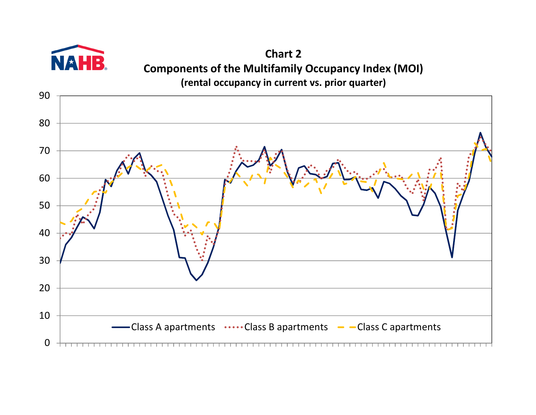

**Chart 2 Components of the Multifamily Occupancy Index (MOI) (rental occupancy in current vs. prior quarter)**